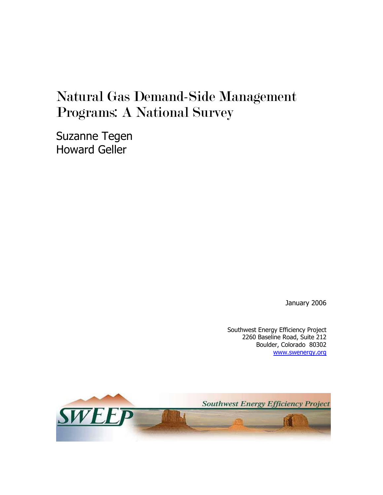# Natural Gas Demand-Side Management Programs: A National Survey

Suzanne Tegen Howard Geller

January 2006

Southwest Energy Efficiency Project 2260 Baseline Road, Suite 212 Boulder, Colorado 80302 [www.swenergy.org](http://www.swenergy.org/)

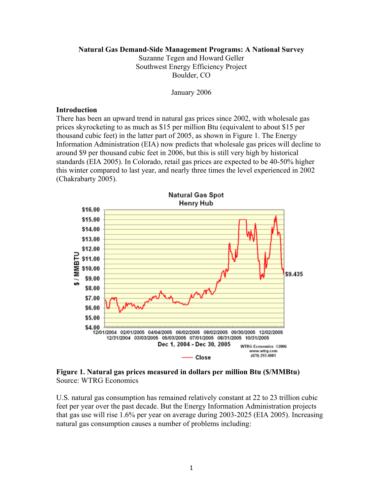#### **Natural Gas Demand-Side Management Programs: A National Survey**

Suzanne Tegen and Howard Geller Southwest Energy Efficiency Project Boulder, CO

January 2006

#### **Introduction**

There has been an upward trend in natural gas prices since 2002, with wholesale gas prices skyrocketing to as much as \$15 per million Btu (equivalent to about \$15 per thousand cubic feet) in the latter part of 2005, as shown in Figure 1. The Energy Information Administration (EIA) now predicts that wholesale gas prices will decline to around \$9 per thousand cubic feet in 2006, but this is still very high by historical standards (EIA 2005). In Colorado, retail gas prices are expected to be 40-50% higher this winter compared to last year, and nearly three times the level experienced in 2002 (Chakrabarty 2005).



**Figure 1. Natural gas prices measured in dollars per million Btu (\$/MMBtu)**  Source: WTRG Economics

U.S. natural gas consumption has remained relatively constant at 22 to 23 trillion cubic feet per year over the past decade. But the Energy Information Administration projects that gas use will rise 1.6% per year on average during 2003-2025 (EIA 2005). Increasing natural gas consumption causes a number of problems including: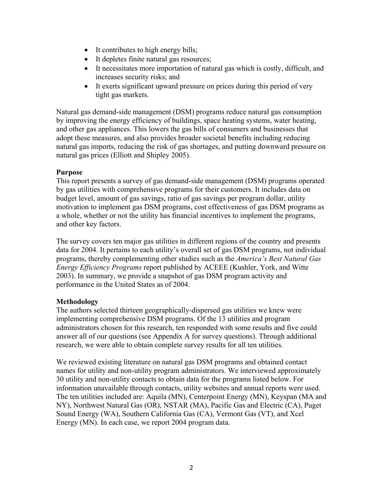- It contributes to high energy bills;
- It depletes finite natural gas resources;
- It necessitates more importation of natural gas which is costly, difficult, and increases security risks; and
- It exerts significant upward pressure on prices during this period of very tight gas markets.

Natural gas demand-side management (DSM) programs reduce natural gas consumption by improving the energy efficiency of buildings, space heating systems, water heating, and other gas appliances. This lowers the gas bills of consumers and businesses that adopt these measures, and also provides broader societal benefits including reducing natural gas imports, reducing the risk of gas shortages, and putting downward pressure on natural gas prices (Elliott and Shipley 2005).

## **Purpose**

This report presents a survey of gas demand-side management (DSM) programs operated by gas utilities with comprehensive programs for their customers. It includes data on budget level, amount of gas savings, ratio of gas savings per program dollar, utility motivation to implement gas DSM programs, cost effectiveness of gas DSM programs as a whole, whether or not the utility has financial incentives to implement the programs, and other key factors.

The survey covers ten major gas utilities in different regions of the country and presents data for 2004. It pertains to each utility's overall set of gas DSM programs, not individual programs, thereby complementing other studies such as the *America's Best Natural Gas Energy Efficiency Programs* report published by ACEEE (Kushler, York, and Witte 2003). In summary, we provide a snapshot of gas DSM program activity and performance in the United States as of 2004.

#### **Methodology**

The authors selected thirteen geographically-dispersed gas utilities we knew were implementing comprehensive DSM programs. Of the 13 utilities and program administrators chosen for this research, ten responded with some results and five could answer all of our questions (see Appendix A for survey questions). Through additional research, we were able to obtain complete survey results for all ten utilities.

We reviewed existing literature on natural gas DSM programs and obtained contact names for utility and non-utility program administrators. We interviewed approximately 30 utility and non-utility contacts to obtain data for the programs listed below. For information unavailable through contacts, utility websites and annual reports were used. The ten utilities included are: Aquila (MN), Centerpoint Energy (MN), Keyspan (MA and NY), Northwest Natural Gas (OR), NSTAR (MA), Pacific Gas and Electric (CA), Puget Sound Energy (WA), Southern California Gas (CA), Vermont Gas (VT), and Xcel Energy (MN). In each case, we report 2004 program data.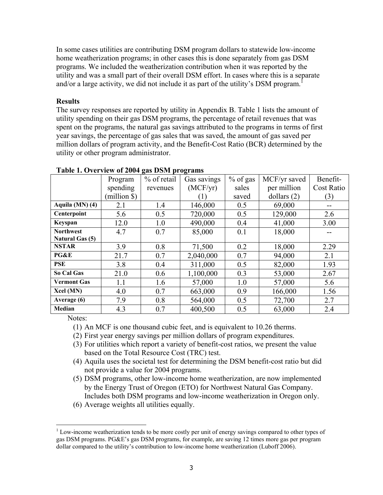In some cases utilities are contributing DSM program dollars to statewide low-income home weatherization programs; in other cases this is done separately from gas DSM programs. We included the weatherization contribution when it was reported by the utility and was a small part of their overall DSM effort. In cases where this is a separate and/or a large activity, we did not include it as part of the utility's DSM program.<sup>[1](#page-3-0)</sup>

### **Results**

The survey responses are reported by utility in Appendix B. Table 1 lists the amount of utility spending on their gas DSM programs, the percentage of retail revenues that was spent on the programs, the natural gas savings attributed to the programs in terms of first year savings, the percentage of gas sales that was saved, the amount of gas saved per million dollars of program activity, and the Benefit-Cost Ratio (BCR) determined by the utility or other program administrator.

|                    | Program      | % of retail | Gas savings | $%$ of gas | MCF/yr saved  | Benefit-          |
|--------------------|--------------|-------------|-------------|------------|---------------|-------------------|
|                    | spending     | revenues    | (MCF/yr)    | sales      | per million   | <b>Cost Ratio</b> |
|                    | $(million \$ |             | (1)         | saved      | dollars $(2)$ | (3)               |
| Aquila (MN) (4)    | 2.1          | 1.4         | 146,000     | 0.5        | 69,000        | --                |
| Centerpoint        | 5.6          | 0.5         | 720,000     | 0.5        | 129,000       | 2.6               |
| Keyspan            | 12.0         | 1.0         | 490,000     | 0.4        | 41,000        | 3.00              |
| <b>Northwest</b>   | 4.7          | 0.7         | 85,000      | 0.1        | 18,000        |                   |
| Natural Gas (5)    |              |             |             |            |               |                   |
| <b>NSTAR</b>       | 3.9          | 0.8         | 71,500      | 0.2        | 18,000        | 2.29              |
| PG&E               | 21.7         | 0.7         | 2,040,000   | 0.7        | 94,000        | 2.1               |
| PSE                | 3.8          | 0.4         | 311,000     | 0.5        | 82,000        | 1.93              |
| So Cal Gas         | 21.0         | 0.6         | 1,100,000   | 0.3        | 53,000        | 2.67              |
| <b>Vermont Gas</b> | 1.1          | 1.6         | 57,000      | 1.0        | 57,000        | 5.6               |
| Xcel (MN)          | 4.0          | 0.7         | 663,000     | 0.9        | 166,000       | 1.56              |
| Average (6)        | 7.9          | 0.8         | 564,000     | 0.5        | 72,700        | 2.7               |
| Median             | 4.3          | 0.7         | 400,500     | 0.5        | 63,000        | 2.4               |

#### **Table 1. Overview of 2004 gas DSM programs**

Notes:

(1) An MCF is one thousand cubic feet, and is equivalent to 10.26 therms.

- (2) First year energy savings per million dollars of program expenditures.
- (3) For utilities which report a variety of benefit-cost ratios, we present the value based on the Total Resource Cost (TRC) test.
- (4) Aquila uses the societal test for determining the DSM benefit-cost ratio but did not provide a value for 2004 programs.
- (5) DSM programs, other low-income home weatherization, are now implemented by the Energy Trust of Oregon (ETO) for Northwest Natural Gas Company. Includes both DSM programs and low-income weatherization in Oregon only.
- (6) Average weights all utilities equally.

<span id="page-3-0"></span> $\overline{a}$  $1$  Low-income weatherization tends to be more costly per unit of energy savings compared to other types of gas DSM programs. PG&E's gas DSM programs, for example, are saving 12 times more gas per program dollar compared to the utility's contribution to low-income home weatherization (Luboff 2006).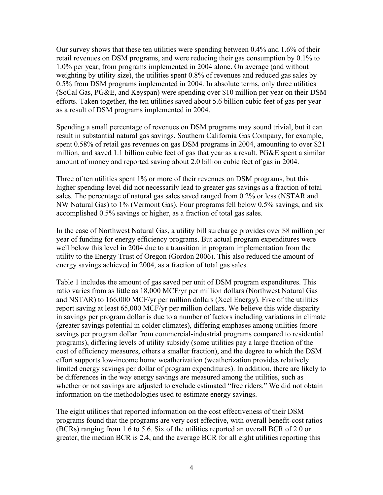Our survey shows that these ten utilities were spending between 0.4% and 1.6% of their retail revenues on DSM programs, and were reducing their gas consumption by 0.1% to 1.0% per year, from programs implemented in 2004 alone. On average (and without weighting by utility size), the utilities spent 0.8% of revenues and reduced gas sales by 0.5% from DSM programs implemented in 2004. In absolute terms, only three utilities (SoCal Gas, PG&E, and Keyspan) were spending over \$10 million per year on their DSM efforts. Taken together, the ten utilities saved about 5.6 billion cubic feet of gas per year as a result of DSM programs implemented in 2004.

Spending a small percentage of revenues on DSM programs may sound trivial, but it can result in substantial natural gas savings. Southern California Gas Company, for example, spent 0.58% of retail gas revenues on gas DSM programs in 2004, amounting to over \$21 million, and saved 1.1 billion cubic feet of gas that year as a result. PG&E spent a similar amount of money and reported saving about 2.0 billion cubic feet of gas in 2004.

Three of ten utilities spent 1% or more of their revenues on DSM programs, but this higher spending level did not necessarily lead to greater gas savings as a fraction of total sales. The percentage of natural gas sales saved ranged from 0.2% or less (NSTAR and NW Natural Gas) to 1% (Vermont Gas). Four programs fell below 0.5% savings, and six accomplished 0.5% savings or higher, as a fraction of total gas sales.

In the case of Northwest Natural Gas, a utility bill surcharge provides over \$8 million per year of funding for energy efficiency programs. But actual program expenditures were well below this level in 2004 due to a transition in program implementation from the utility to the Energy Trust of Oregon (Gordon 2006). This also reduced the amount of energy savings achieved in 2004, as a fraction of total gas sales.

Table 1 includes the amount of gas saved per unit of DSM program expenditures. This ratio varies from as little as 18,000 MCF/yr per million dollars (Northwest Natural Gas and NSTAR) to 166,000 MCF/yr per million dollars (Xcel Energy). Five of the utilities report saving at least 65,000 MCF/yr per million dollars. We believe this wide disparity in savings per program dollar is due to a number of factors including variations in climate (greater savings potential in colder climates), differing emphases among utilities (more savings per program dollar from commercial-industrial programs compared to residential programs), differing levels of utility subsidy (some utilities pay a large fraction of the cost of efficiency measures, others a smaller fraction), and the degree to which the DSM effort supports low-income home weatherization (weatherization provides relatively limited energy savings per dollar of program expenditures). In addition, there are likely to be differences in the way energy savings are measured among the utilities, such as whether or not savings are adjusted to exclude estimated "free riders." We did not obtain information on the methodologies used to estimate energy savings.

The eight utilities that reported information on the cost effectiveness of their DSM programs found that the programs are very cost effective, with overall benefit-cost ratios (BCRs) ranging from 1.6 to 5.6. Six of the utilities reported an overall BCR of 2.0 or greater, the median BCR is 2.4, and the average BCR for all eight utilities reporting this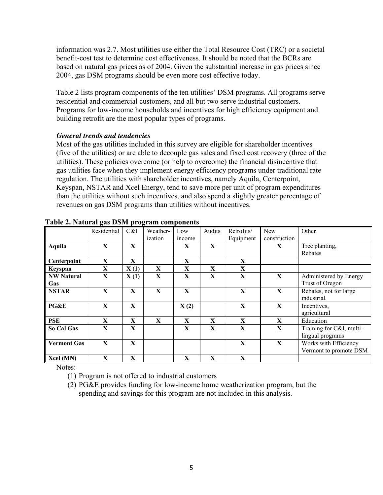information was 2.7. Most utilities use either the Total Resource Cost (TRC) or a societal benefit-cost test to determine cost effectiveness. It should be noted that the BCRs are based on natural gas prices as of 2004. Given the substantial increase in gas prices since 2004, gas DSM programs should be even more cost effective today.

Table 2 lists program components of the ten utilities' DSM programs. All programs serve residential and commercial customers, and all but two serve industrial customers. Programs for low-income households and incentives for high efficiency equipment and building retrofit are the most popular types of programs.

## *General trends and tendencies*

Most of the gas utilities included in this survey are eligible for shareholder incentives (five of the utilities) or are able to decouple gas sales and fixed cost recovery (three of the utilities). These policies overcome (or help to overcome) the financial disincentive that gas utilities face when they implement energy efficiency programs under traditional rate regulation. The utilities with shareholder incentives, namely Aquila, Centerpoint, Keyspan, NSTAR and Xcel Energy, tend to save more per unit of program expenditures than the utilities without such incentives, and also spend a slightly greater percentage of revenues on gas DSM programs than utilities without incentives.

|                    | ◓<br>Residential | - 0<br>C&I | Weather- | Low         | Audits | Retrofits/   | New          | Other                    |
|--------------------|------------------|------------|----------|-------------|--------|--------------|--------------|--------------------------|
|                    |                  |            | ization  | income      |        | Equipment    | construction |                          |
| Aquila             | X                | X          |          | X           | X      |              | X            | Tree planting,           |
|                    |                  |            |          |             |        |              |              | Rebates                  |
| Centerpoint        | X                | X          |          | X           |        | X            |              |                          |
| Keyspan            | X                | X(1)       | X        | X           | X      | X            |              |                          |
| <b>NW Natural</b>  | X                | X(1)       | X        | X           | X      | X            | $\mathbf{X}$ | Administered by Energy   |
| <b>Gas</b>         |                  |            |          |             |        |              |              | Trust of Oregon          |
| <b>NSTAR</b>       | X                | X          | X        | $\mathbf X$ |        | X            | $\mathbf X$  | Rebates, not for large   |
|                    |                  |            |          |             |        |              |              | industrial.              |
| PG&E               | $\mathbf{X}$     | X          |          | X(2)        |        | $\mathbf{X}$ | X            | Incentives,              |
|                    |                  |            |          |             |        |              |              | agricultural             |
| <b>PSE</b>         | X                | X          | X        | X           | X      | X            | X            | Education                |
| So Cal Gas         | X                | X          |          | X           | X      | X            | X            | Training for C&I, multi- |
|                    |                  |            |          |             |        |              |              | lingual programs         |
| <b>Vermont Gas</b> | X                | X          |          |             |        | X            | X            | Works with Efficiency    |
|                    |                  |            |          |             |        |              |              | Vermont to promote DSM   |
| Xcel (MN)          | X                | X          |          | X           | X      | X            |              |                          |

#### **Table 2. Natural gas DSM program components**

Notes:

(1) Program is not offered to industrial customers

(2) PG&E provides funding for low-income home weatherization program, but the spending and savings for this program are not included in this analysis.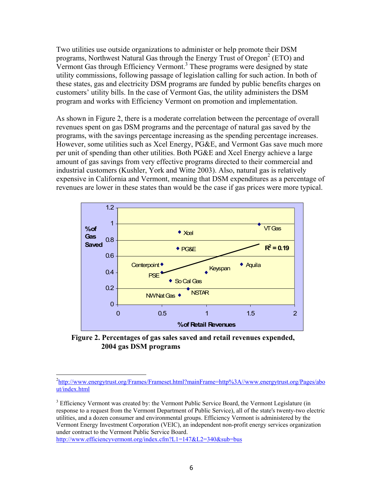Two utilities use outside organizations to administer or help promote their DSM programs, Northwest Natural Gas through the Energy Trust of Oregon<sup>2</sup> (ETO) and Vermont Gas through Efficiency Vermont.<sup>3</sup> These programs were designed by state utility commissions, following passage of legislation calling for such action. In both of these states, gas and electricity DSM programs are funded by public benefits charges on customers' utility bills. In the case of Vermont Gas, the utility administers the DSM program and works with Efficiency Vermont on promotion and implementation.

As shown in Figure 2, there is a moderate correlation between the percentage of overall revenues spent on gas DSM programs and the percentage of natural gas saved by the programs, with the savings percentage increasing as the spending percentage increases. However, some utilities such as Xcel Energy, PG&E, and Vermont Gas save much more per unit of spending than other utilities. Both PG&E and Xcel Energy achieve a large amount of gas savings from very effective programs directed to their commercial and industrial customers (Kushler, York and Witte 2003). Also, natural gas is relatively expensive in California and Vermont, meaning that DSM expenditures as a percentage of revenues are lower in these states than would be the case if gas prices were more typical.



 **Figure 2. Percentages of gas sales saved and retail revenues expended, 2004 gas DSM programs** 

<span id="page-6-1"></span><sup>3</sup> Efficiency Vermont was created by: the Vermont Public Service Board, the Vermont Legislature (in response to a request from the Vermont Department of Public Service), all of the state's twenty-two electric utilities, and a dozen consumer and environmental groups. Efficiency Vermont is administered by the Vermont Energy Investment Corporation (VEIC), an independent non-profit energy services organization under contract to the Vermont Public Service Board.

<http://www.efficiencyvermont.org/index.cfm?L1=147&L2=340&sub=bus>

1

<span id="page-6-0"></span><sup>2</sup> [http://www.energytrust.org/Frames/Frameset.html?mainFrame=http%3A//www.energytrust.org/Pages/abo](http://www.energytrust.org/Frames/Frameset.html?mainFrame=http%3A//www.energytrust.org/Pages/about/index.html) [ut/index.html](http://www.energytrust.org/Frames/Frameset.html?mainFrame=http%3A//www.energytrust.org/Pages/about/index.html)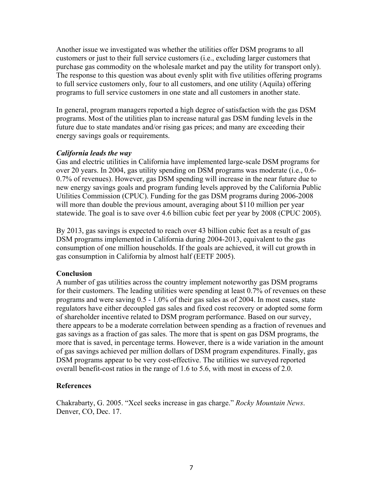Another issue we investigated was whether the utilities offer DSM programs to all customers or just to their full service customers (i.e., excluding larger customers that purchase gas commodity on the wholesale market and pay the utility for transport only). The response to this question was about evenly split with five utilities offering programs to full service customers only, four to all customers, and one utility (Aquila) offering programs to full service customers in one state and all customers in another state.

In general, program managers reported a high degree of satisfaction with the gas DSM programs. Most of the utilities plan to increase natural gas DSM funding levels in the future due to state mandates and/or rising gas prices; and many are exceeding their energy savings goals or requirements.

## *California leads the way*

Gas and electric utilities in California have implemented large-scale DSM programs for over 20 years. In 2004, gas utility spending on DSM programs was moderate (i.e., 0.6- 0.7% of revenues). However, gas DSM spending will increase in the near future due to new energy savings goals and program funding levels approved by the California Public Utilities Commission (CPUC). Funding for the gas DSM programs during 2006-2008 will more than double the previous amount, averaging about \$110 million per year statewide. The goal is to save over 4.6 billion cubic feet per year by 2008 (CPUC 2005).

By 2013, gas savings is expected to reach over 43 billion cubic feet as a result of gas DSM programs implemented in California during 2004-2013, equivalent to the gas consumption of one million households. If the goals are achieved, it will cut growth in gas consumption in California by almost half (EETF 2005).

#### **Conclusion**

A number of gas utilities across the country implement noteworthy gas DSM programs for their customers. The leading utilities were spending at least 0.7% of revenues on these programs and were saving 0.5 - 1.0% of their gas sales as of 2004. In most cases, state regulators have either decoupled gas sales and fixed cost recovery or adopted some form of shareholder incentive related to DSM program performance. Based on our survey, there appears to be a moderate correlation between spending as a fraction of revenues and gas savings as a fraction of gas sales. The more that is spent on gas DSM programs, the more that is saved, in percentage terms. However, there is a wide variation in the amount of gas savings achieved per million dollars of DSM program expenditures. Finally, gas DSM programs appear to be very cost-effective. The utilities we surveyed reported overall benefit-cost ratios in the range of 1.6 to 5.6, with most in excess of 2.0.

## **References**

Chakrabarty, G. 2005. "Xcel seeks increase in gas charge." *Rocky Mountain News*. Denver, CO, Dec. 17.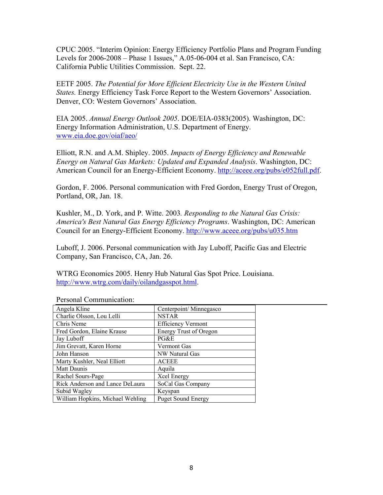CPUC 2005. "Interim Opinion: Energy Efficiency Portfolio Plans and Program Funding Levels for 2006-2008 – Phase 1 Issues," A.05-06-004 et al. San Francisco, CA: California Public Utilities Commission. Sept. 22.

EETF 2005. *The Potential for More Efficient Electricity Use in the Western United States.* Energy Efficiency Task Force Report to the Western Governors' Association. Denver, CO: Western Governors' Association.

EIA 2005. *Annual Energy Outlook 2005*. DOE/EIA-0383(2005). Washington, DC: Energy Information Administration, U.S. Department of Energy. [www.eia.doe.gov/oiaf/aeo/](http://www.eia.doe.gov/oiaf/aeo/)

Elliott, R.N. and A.M. Shipley. 2005. *Impacts of Energy Efficiency and Renewable Energy on Natural Gas Markets: Updated and Expanded Analysis*. Washington, DC: American Council for an Energy-Efficient Economy. [http://aceee.org/pubs/e052full.pdf.](http://aceee.org/pubs/e052full.pdf)

Gordon, F. 2006. Personal communication with Fred Gordon, Energy Trust of Oregon, Portland, OR, Jan. 18.

Kushler, M., D. York, and P. Witte. 2003*. Responding to the Natural Gas Crisis: America's Best Natural Gas Energy Efficiency Programs*. Washington, DC: American Council for an Energy-Efficient Economy. <http://www.aceee.org/pubs/u035.htm>

Luboff, J. 2006. Personal communication with Jay Luboff, Pacific Gas and Electric Company, San Francisco, CA, Jan. 26.

WTRG Economics 2005. Henry Hub Natural Gas Spot Price. Louisiana. [http://www.wtrg.com/daily/oilandgasspot.html.](http://www.wtrg.com/daily/oilandgasspot.html)

| Angela Kline                     | Centerpoint/Minnegasco        |
|----------------------------------|-------------------------------|
| Charlie Olsson, Lou Lelli        | <b>NSTAR</b>                  |
| Chris Neme                       | <b>Efficiency Vermont</b>     |
| Fred Gordon, Elaine Krause       | <b>Energy Trust of Oregon</b> |
| Jay Luboff                       | PG&E                          |
| Jim Grevatt, Karen Horne         | Vermont Gas                   |
| John Hanson                      | NW Natural Gas                |
| Marty Kushler, Neal Elliott      | <b>ACEEE</b>                  |
| Matt Daunis                      | Aquila                        |
| Rachel Sours-Page                | Xcel Energy                   |
| Rick Anderson and Lance DeLaura  | SoCal Gas Company             |
| Subid Wagley                     | Keyspan                       |
| William Hopkins, Michael Wehling | <b>Puget Sound Energy</b>     |

Personal Communication: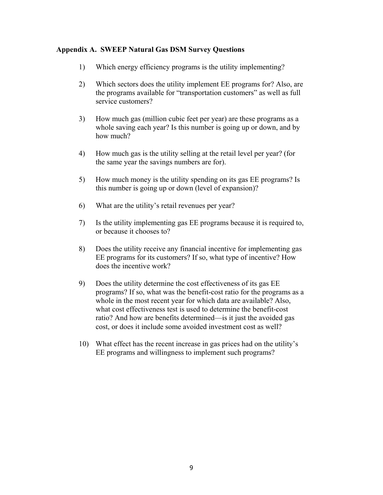## **Appendix A. SWEEP Natural Gas DSM Survey Questions**

- 1) Which energy efficiency programs is the utility implementing?
- 2) Which sectors does the utility implement EE programs for? Also, are the programs available for "transportation customers" as well as full service customers?
- 3) How much gas (million cubic feet per year) are these programs as a whole saving each year? Is this number is going up or down, and by how much?
- 4) How much gas is the utility selling at the retail level per year? (for the same year the savings numbers are for).
- 5) How much money is the utility spending on its gas EE programs? Is this number is going up or down (level of expansion)?
- 6) What are the utility's retail revenues per year?
- 7) Is the utility implementing gas EE programs because it is required to, or because it chooses to?
- 8) Does the utility receive any financial incentive for implementing gas EE programs for its customers? If so, what type of incentive? How does the incentive work?
- 9) Does the utility determine the cost effectiveness of its gas EE programs? If so, what was the benefit-cost ratio for the programs as a whole in the most recent year for which data are available? Also, what cost effectiveness test is used to determine the benefit-cost ratio? And how are benefits determined—is it just the avoided gas cost, or does it include some avoided investment cost as well?
- 10) What effect has the recent increase in gas prices had on the utility's EE programs and willingness to implement such programs?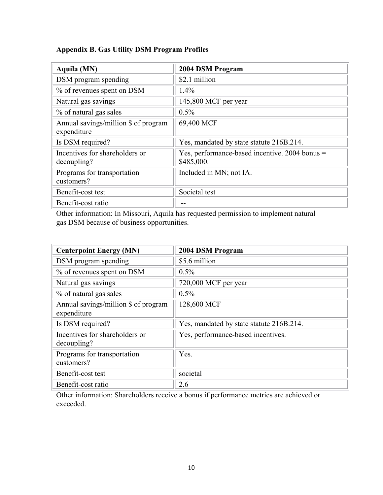## **Appendix B. Gas Utility DSM Program Profiles**

| Aquila (MN)                                         | 2004 DSM Program                                             |
|-----------------------------------------------------|--------------------------------------------------------------|
| DSM program spending                                | \$2.1 million                                                |
| % of revenues spent on DSM                          | 1.4%                                                         |
| Natural gas savings                                 | 145,800 MCF per year                                         |
| % of natural gas sales                              | $0.5\%$                                                      |
| Annual savings/million \$ of program<br>expenditure | 69,400 MCF                                                   |
| Is DSM required?                                    | Yes, mandated by state statute 216B.214.                     |
| Incentives for shareholders or<br>decoupling?       | Yes, performance-based incentive. 2004 bonus =<br>\$485,000. |
| Programs for transportation<br>customers?           | Included in MN; not IA.                                      |
| Benefit-cost test                                   | Societal test                                                |
| Benefit-cost ratio                                  |                                                              |

Other information: In Missouri, Aquila has requested permission to implement natural gas DSM because of business opportunities.

| <b>Centerpoint Energy (MN)</b>                      | 2004 DSM Program                         |
|-----------------------------------------------------|------------------------------------------|
| DSM program spending                                | \$5.6 million                            |
| % of revenues spent on DSM                          | $0.5\%$                                  |
| Natural gas savings                                 | 720,000 MCF per year                     |
| % of natural gas sales                              | 0.5%                                     |
| Annual savings/million \$ of program<br>expenditure | 128,600 MCF                              |
| Is DSM required?                                    | Yes, mandated by state statute 216B.214. |
| Incentives for shareholders or<br>decoupling?       | Yes, performance-based incentives.       |
| Programs for transportation<br>customers?           | Yes.                                     |
| Benefit-cost test                                   | societal                                 |
| Benefit-cost ratio                                  | 2.6                                      |

Other information: Shareholders receive a bonus if performance metrics are achieved or exceeded.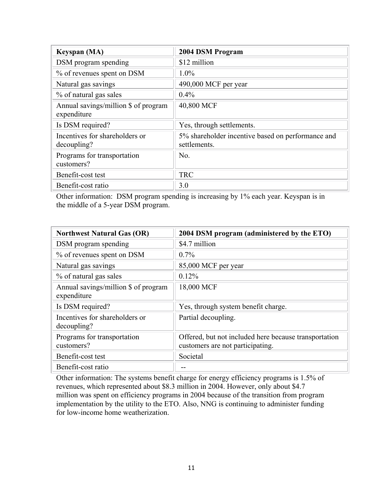| <b>Keyspan</b> (MA)                                 | 2004 DSM Program                                                  |
|-----------------------------------------------------|-------------------------------------------------------------------|
| DSM program spending                                | \$12 million                                                      |
| % of revenues spent on DSM                          | $1.0\%$                                                           |
| Natural gas savings                                 | 490,000 MCF per year                                              |
| % of natural gas sales                              | $0.4\%$                                                           |
| Annual savings/million \$ of program<br>expenditure | 40,800 MCF                                                        |
| Is DSM required?                                    | Yes, through settlements.                                         |
| Incentives for shareholders or<br>decoupling?       | 5% shareholder incentive based on performance and<br>settlements. |
| Programs for transportation<br>customers?           | No.                                                               |
| Benefit-cost test                                   | <b>TRC</b>                                                        |
| Benefit-cost ratio                                  | 3.0                                                               |

Other information: DSM program spending is increasing by 1% each year. Keyspan is in the middle of a 5-year DSM program.

| <b>Northwest Natural Gas (OR)</b>                   | 2004 DSM program (administered by the ETO)                                                |
|-----------------------------------------------------|-------------------------------------------------------------------------------------------|
| DSM program spending                                | \$4.7 million                                                                             |
| % of revenues spent on DSM                          | $0.7\%$                                                                                   |
| Natural gas savings                                 | 85,000 MCF per year                                                                       |
| % of natural gas sales                              | 0.12%                                                                                     |
| Annual savings/million \$ of program<br>expenditure | 18,000 MCF                                                                                |
| Is DSM required?                                    | Yes, through system benefit charge.                                                       |
| Incentives for shareholders or<br>decoupling?       | Partial decoupling.                                                                       |
| Programs for transportation<br>customers?           | Offered, but not included here because transportation<br>customers are not participating. |
| Benefit-cost test                                   | Societal                                                                                  |
| Benefit-cost ratio                                  |                                                                                           |

Other information: The systems benefit charge for energy efficiency programs is 1.5% of revenues, which represented about \$8.3 million in 2004. However, only about \$4.7 million was spent on efficiency programs in 2004 because of the transition from program implementation by the utility to the ETO. Also, NNG is continuing to administer funding for low-income home weatherization.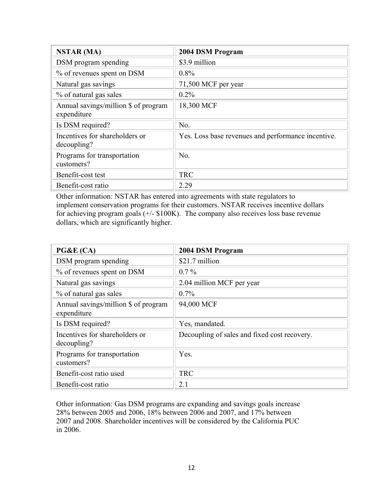| <b>NSTAR (MA)</b>                                   | 2004 DSM Program                                   |
|-----------------------------------------------------|----------------------------------------------------|
| DSM program spending                                | \$3.9 million                                      |
| % of revenues spent on DSM                          | 0.8%                                               |
| Natural gas savings                                 | 71,500 MCF per year                                |
| % of natural gas sales                              | $0.2\%$                                            |
| Annual savings/million \$ of program<br>expenditure | 18,300 MCF                                         |
| Is DSM required?                                    | No.                                                |
| Incentives for shareholders or<br>decoupling?       | Yes. Loss base revenues and performance incentive. |
| Programs for transportation<br>customers?           | No.                                                |
| Benefit-cost test                                   | <b>TRC</b>                                         |
| Benefit-cost ratio                                  | 2.29                                               |

Other information: NSTAR has entered into agreements with state regulators to implement conservation programs for their customers. NSTAR receives incentive dollars for achieving program goals (+/- \$100K). The company also receives loss base revenue dollars, which are significantly higher.

| PG&E (CA)                                           | 2004 DSM Program                             |
|-----------------------------------------------------|----------------------------------------------|
| DSM program spending                                | \$21.7 million                               |
| % of revenues spent on DSM                          | $0.7\%$                                      |
| Natural gas savings                                 | 2.04 million MCF per year                    |
| % of natural gas sales                              | $0.7\%$                                      |
| Annual savings/million \$ of program<br>expenditure | 94,000 MCF                                   |
| Is DSM required?                                    | Yes, mandated.                               |
| Incentives for shareholders or<br>decoupling?       | Decoupling of sales and fixed cost recovery. |
| Programs for transportation<br>customers?           | Yes.                                         |
| Benefit-cost ratio used                             | <b>TRC</b>                                   |
| Benefit-cost ratio                                  | 2.1                                          |

Other information: Gas DSM programs are expanding and savings goals increase 28% between 2005 and 2006, 18% between 2006 and 2007, and 17% between 2007 and 2008. Shareholder incentives will be considered by the California PUC in 2006.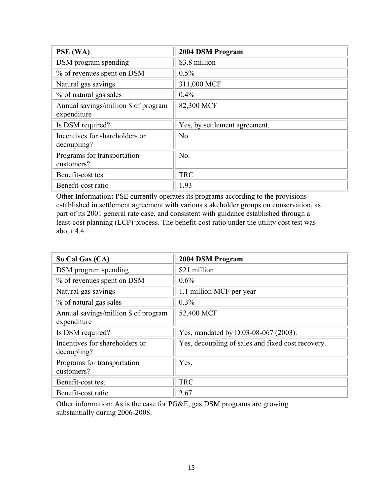| PSE (WA)                                            | 2004 DSM Program              |
|-----------------------------------------------------|-------------------------------|
| DSM program spending                                | \$3.8 million                 |
| % of revenues spent on DSM                          | $0.5\%$                       |
| Natural gas savings                                 | 311,000 MCF                   |
| % of natural gas sales                              | $0.4\%$                       |
| Annual savings/million \$ of program<br>expenditure | 82,300 MCF                    |
| Is DSM required?                                    | Yes, by settlement agreement. |
| Incentives for shareholders or<br>decoupling?       | No.                           |
| Programs for transportation<br>customers?           | No.                           |
| Benefit-cost test                                   | <b>TRC</b>                    |
| Benefit-cost ratio                                  | 1.93                          |

Other Information**:** PSE currently operates its programs according to the provisions established in settlement agreement with various stakeholder groups on conservation, as part of its 2001 general rate case, and consistent with guidance established through a least-cost planning (LCP) process. The benefit-cost ratio under the utility cost test was about 4.4.

| So Cal Gas (CA)                                     | 2004 DSM Program                                  |
|-----------------------------------------------------|---------------------------------------------------|
| DSM program spending                                | \$21 million                                      |
| % of revenues spent on DSM                          | $0.6\%$                                           |
| Natural gas savings                                 | 1.1 million MCF per year                          |
| % of natural gas sales                              | $0.3\%$                                           |
| Annual savings/million \$ of program<br>expenditure | 52,400 MCF                                        |
| Is DSM required?                                    | Yes, mandated by D.03-08-067 (2003).              |
| Incentives for shareholders or<br>decoupling?       | Yes, decoupling of sales and fixed cost recovery. |
| Programs for transportation<br>customers?           | Yes.                                              |
| Benefit-cost test                                   | <b>TRC</b>                                        |
| Benefit-cost ratio                                  | 2.67                                              |

Other information: As is the case for PG&E, gas DSM programs are growing substantially during 2006-2008.